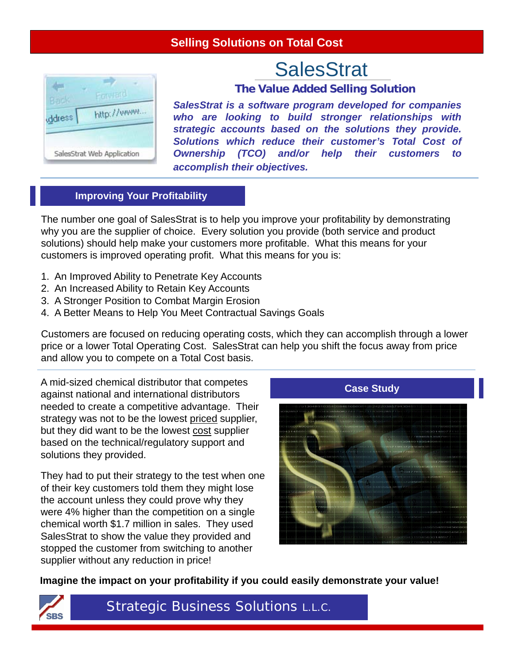## **Selling Solutions on Total Cost**

# **SalesStrat**



**The Value Added Selling Solution**

*SalesStrat is a software program developed for companies who are looking to build stronger relationships with strategic accounts based on the solutions they provide. Solutions which reduce their customer's Total Cost of Ownership (TCO) and/or help their customers to accomplish their objectives.*

#### **Improving Your Profitability**

The number one goal of SalesStrat is to help you improve your profitability by demonstrating why you are the supplier of choice. Every solution you provide (both service and product solutions) should help make your customers more profitable. What this means for your customers is improved operating profit. What this means for you is:

- 1. An Improved Ability to Penetrate Key Accounts
- 2. An Increased Ability to Retain Key Accounts
- 3. A Stronger Position to Combat Margin Erosion
- 4. A Better Means to Help You Meet Contractual Savings Goals

Customers are focused on reducing operating costs, which they can accomplish through a lower price or a lower Total Operating Cost. SalesStrat can help you shift the focus away from price and allow you to compete on a Total Cost basis.

A mid-sized chemical distributor that competes against national and international distributors needed to create a competitive advantage. Their strategy was not to be the lowest priced supplier, but they did want to be the lowest cost supplier based on the technical/regulatory support and solutions they provided.

They had to put their strategy to the test when one of their key customers told them they might lose the account unless they could prove why they were 4% higher than the competition on a single chemical worth \$1.7 million in sales. They used SalesStrat to show the value they provided and stopped the customer from switching to another supplier without any reduction in price!



**Imagine the impact on your profitability if you could easily demonstrate your value!**



Strategic Business Solutions L.L.C.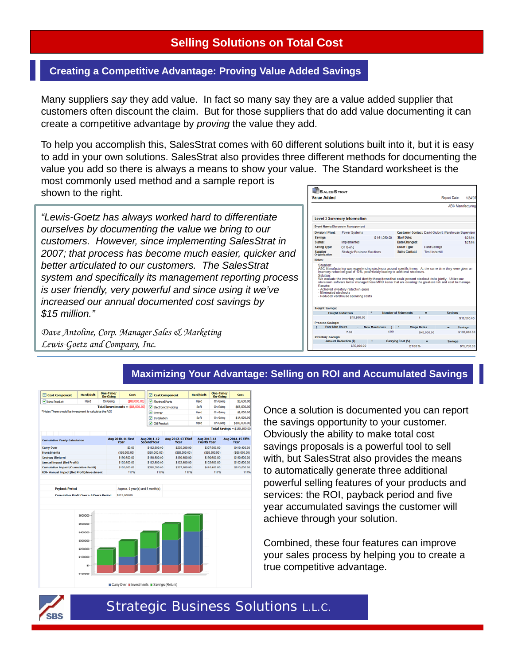## **Selling Solutions on Total Cost**

#### **Creating a Competitive Advantage: Proving Value Added Savings**

Many suppliers *say* they add value. In fact so many say they are a value added supplier that customers often discount the claim. But for those suppliers that do add value documenting it can create a competitive advantage by *proving* the value they add.

To help you accomplish this, SalesStrat comes with 60 different solutions built into it, but it is easy to add in your own solutions. SalesStrat also provides three different methods for documenting the value you add so there is always a means to show your value. The Standard worksheet is the

most commonly used method and a sample report is shown to the right.

*"Lewis-Goetz has always worked hard to differentiate ourselves by documenting the value we bring to our customers. However, since implementing SalesStrat in 2007; that process has become much easier, quicker and better articulated to our customers. The SalesStrat system and specifically its management reporting process is user friendly, very powerful and since using it we've increased our annual documented cost savings by \$15 million."* 

*Dave Antoline, Corp. Manager Sales & Marketing Lewis-Goetz and Company, Inc.*



#### **Maximizing Your Advantage: Selling on ROI and Accumulated Savings**

| Cost Component                                          | Hard/Soft                                      | One-Time/<br>On-Going | Cost                                     |                                   | Cost Component            | Hard/Soft                         | One-Time/<br>On-Going | Cost                                |
|---------------------------------------------------------|------------------------------------------------|-----------------------|------------------------------------------|-----------------------------------|---------------------------|-----------------------------------|-----------------------|-------------------------------------|
| V New Product                                           | Hard                                           | On Going              | (\$88,000.00)                            | <b>P</b> Electrical Parts         |                           | Hard                              | On Going              | \$3,600.00                          |
|                                                         |                                                |                       | <b>Total Investments = (\$88,000.00)</b> |                                   | Electronic Invoicing      | Soft                              | On Going              | \$65,000.00                         |
| * Note: There should be investment to calculate the ROI |                                                |                       |                                          | <b>Energy</b>                     |                           | Hard                              | On Going              | \$8,000.00                          |
|                                                         |                                                |                       |                                          | nstallation                       |                           | Soft                              | <b>On Going</b>       | \$14,000.00                         |
|                                                         |                                                |                       |                                          | Old Product                       |                           | Hard                              | On Going              | \$100,000.00                        |
|                                                         |                                                |                       |                                          |                                   |                           |                                   |                       | <b>Total Savings = \$190,600.00</b> |
| <b>Cumulative Yearly Calculation</b>                    |                                                |                       | <b>Aug 2010-11 First</b><br>Year         | Aug 2011-12<br><b>Second Year</b> | Aug 2012-13 Third<br>Year | Aug 2013-14<br><b>Fourth Year</b> |                       | Aug 2014-15 Fifth<br>Year           |
| <b>Carry Over</b>                                       |                                                |                       | \$0.00                                   | \$102,600.00                      | \$205,200.00              |                                   | \$307,800.00          | \$410,400.00                        |
| <b>Investments</b>                                      |                                                |                       | (\$88,000.00)                            | (\$88,000.00)                     | (\$88,000.00)             |                                   | (\$88,000.00)         | (588,000.00)                        |
| Savings (Return)                                        |                                                |                       | \$190,600.00                             | \$190,600.00                      | \$190,600.00              |                                   | \$190,600.00          | \$190,600.00                        |
| <b>Annual Impact (Net Profit)</b>                       |                                                |                       | \$102,600.00                             | \$102,600.00                      | \$102,600.00              |                                   | \$102,600.00          | \$102,600.00                        |
| <b>Cumulative Impact (Cumulative Profit)</b>            |                                                |                       | \$102,600.00                             | \$205,200.00                      | \$307,800.00              |                                   | \$410,400.00          | \$513,000.00                        |
| <b>ROI- Annual Impact (Net Profit)/Investment</b>       |                                                |                       | 117%                                     | 117%                              |                           | 117%                              | 117%                  | 117%                                |
|                                                         |                                                |                       |                                          |                                   |                           |                                   |                       |                                     |
| <b>Payback Period</b>                                   |                                                |                       |                                          | Approx. 0 year(s) and 5 month(s)  |                           |                                   |                       |                                     |
|                                                         | <b>Cumulative Profit Over a 5 Years Period</b> |                       | \$513,000.00                             |                                   |                           |                                   |                       |                                     |



Once a solution is documented you can report the savings opportunity to your customer. Obviously the ability to make total cost savings proposals is a powerful tool to sell with, but SalesStrat also provides the means to automatically generate three additional powerful selling features of your products and services: the ROI, payback period and five year accumulated savings the customer will achieve through your solution.

Combined, these four features can improve your sales process by helping you to create a true competitive advantage.



## Strategic Business Solutions L.L.C.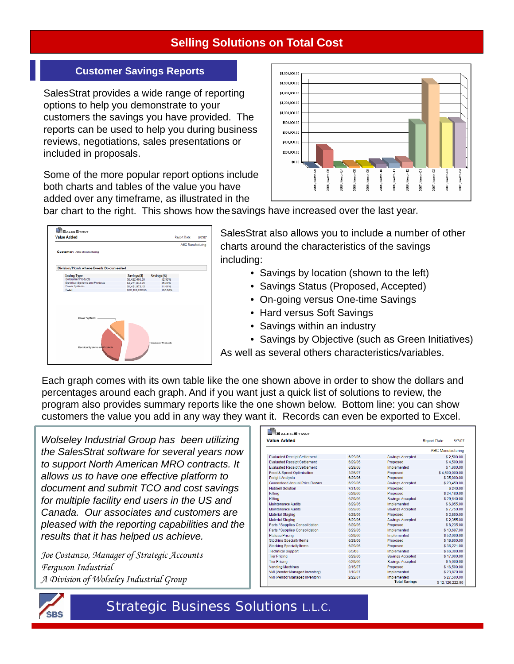# **Selling Solutions on Total Cost**

## **Customer Savings Reports**

SalesStrat provides a wide range of reporting options to help you demonstrate to your customers the savings you have provided. The reports can be used to help you during business reviews, negotiations, sales presentations or included in proposals.

Some of the more popular report options include both charts and tables of the value you have added over any timeframe, as illustrated in the



bar chart to the right. This shows how the savings have increased over the last year.

| <b>Value Added</b>                      |                                       |                 |                    | Report Date:             | 5/7/07 |
|-----------------------------------------|---------------------------------------|-----------------|--------------------|--------------------------|--------|
|                                         |                                       |                 |                    | <b>ABC Manufacturing</b> |        |
| Customer: ABC Manufacturing             |                                       |                 |                    |                          |        |
| Division/Plants where Events Documented |                                       |                 |                    |                          |        |
| <b>Saving Type</b>                      |                                       | Savings (\$)    | Savings (%)        |                          |        |
| Consumer Products                       |                                       | \$6,422,406.00  | 52.96%             |                          |        |
| Electrical Systems and Products         |                                       | \$4,271,843.75  | 35.23%             |                          |        |
| Power Systems                           |                                       | \$1,431,973.15  | 11.81%             |                          |        |
| Total                                   |                                       | \$12,126,222.90 | 100,00%            |                          |        |
| Power Systems                           |                                       |                 |                    |                          |        |
|                                         | <b>Bectrical Systems and Products</b> |                 | -Consumer Products |                          |        |

SalesStrat also allows you to include a number of other charts around the characteristics of the savings including:

- Savings by location (shown to the left)
- Savings Status (Proposed, Accepted)
- On-going versus One-time Savings
- Hard versus Soft Savings
- Savings within an industry

• Savings by Objective (such as Green Initiatives) As well as several others characteristics/variables.

Each graph comes with its own table like the one shown above in order to show the dollars and percentages around each graph. And if you want just a quick list of solutions to review, the program also provides summary reports like the one shown below. Bottom line: you can show customers the value you add in any way they want it. Records can even be exported to Excel.

*Wolseley Industrial Group has been utilizing the SalesStrat software for several years now to support North American MRO contracts. It allows us to have one effective platform to document and submit TCO and cost savings for multiple facility end users in the US and Canada. Our associates and customers are pleased with the reporting capabilities and the results that it has helped us achieve.* 

*Joe Costanzo, Manager of Strategic Accounts Ferguson Industrial A Division of Wolseley Industrial Group* 

| <b>Value Added</b>                   | <b>Report Date:</b><br>5/7/07 |                      |                          |  |
|--------------------------------------|-------------------------------|----------------------|--------------------------|--|
|                                      |                               |                      | <b>ABC Manufacturing</b> |  |
| <b>Evaluated Receipt Settlement</b>  | 6/29/06                       | Savings Accepted     | \$2,500.00               |  |
| <b>Evaluated Receipt Settlement</b>  | 6/29/06                       | Proposed             | \$4,500.00               |  |
| <b>Evaluated Receipt Settlement</b>  | 6/29/06                       | Implemented          | \$1,600.00               |  |
| <b>Feed &amp; Speed Optimization</b> | 1/25/07                       | Proposed             | \$4.500.000.00           |  |
| <b>Freight Analysis</b>              | 6/29/06                       | Proposed             | \$35,000.00              |  |
| <b>Guaranteed Annual Price Downs</b> | 6/29/06                       | Savings Accepted     | \$23.450.00              |  |
| <b>Hubbell Solution</b>              | 7/31/06                       | Proposed             | \$240.00                 |  |
| Kittina                              | 6/29/06                       | Proposed             | \$24.180.00              |  |
| Kitting                              | 6/29/06                       | Savings Accepted     | \$29,640.00              |  |
| <b>Maintenance Audits</b>            | 6/29/06                       | Implemented          | \$6.855.00               |  |
| <b>Maintenance Audits</b>            | 6/29/06                       | Savings Accepted     | \$7.750.00               |  |
| <b>Material Staging</b>              | 6/29/06                       | Proposed             | \$2,850.00               |  |
| Material Staging                     | 6/29/06                       | Savings Accepted     | \$2,355.00               |  |
| Parts / Supplies Consolidation       | 6/29/06                       | Proposed             | \$8,235.00               |  |
| Parts / Supplies Consolidation       | 6/29/06                       | Implemented          | \$13,697.00              |  |
| Plateau Pricing                      | 6/29/06                       | Implemented          | \$52,000.00              |  |
| <b>Stocking Specialty Items</b>      | 6/29/06                       | Proposed             | \$18,800.00              |  |
| Stocking Specialty Items             | 6/29/06                       | Proposed             | \$36.221.00              |  |
| <b>Technical Support</b>             | 6/5/06                        | Implemented          | \$66.300.00              |  |
| <b>Tier Pricing</b>                  | 6/29/06                       | Savings Accepted     | \$17,000.00              |  |
| <b>Tier Pricing</b>                  | 6/29/06                       | Savings Accepted     | \$5,000.00               |  |
| Vending Machines                     | 2/15/07                       | Proposed             | \$16,500.00              |  |
| VMI (Vendor Managed Inventory)       | 1/10/07                       | Implemented          | \$23,870.00              |  |
| VMI (Vendor Managed Inventory)       | 2/22/07                       | Implemented          | \$27.500.00              |  |
|                                      |                               | <b>Total Savings</b> | \$12.126.222.90          |  |